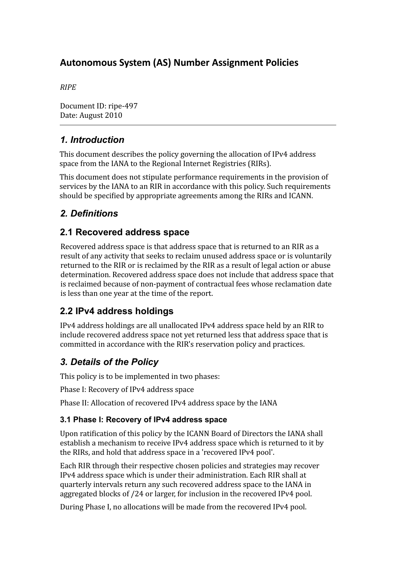# **Autonomous System (AS) Number Assignment Policies**

*RIPE*

Document ID: ripe‐497 Date: August 2010

# *1. Introduction*

This document describes the policy governing the allocation of IPv4 address space from the IANA to the Regional Internet Registries (RIRs).

This document does not stipulate performance requirements in the provision of services by the IANA to an RIR in accordance with this policy. Such requirements should be specified by appropriate agreements among the RIRs and ICANN.

# *2. Definitions*

### **2.1 Recovered address space**

Recovered address space is that address space that is returned to an RIR as a result of any activity that seeks to reclaim unused address space or is voluntarily returned to the RIR or is reclaimed by the RIR as a result of legal action or abuse determination. Recovered address space does not include that address space that is reclaimed because of non‐payment of contractual fees whose reclamation date is less than one year at the time of the report.

# **2.2 IPv4 address holdings**

IPv4 address holdings are all unallocated IPv4 address space held by an RIR to include recovered address space not yet returned less that address space that is committed in accordance with the RIR's reservation policy and practices.

# *3. Details of the Policy*

This policy is to be implemented in two phases:

Phase I: Recovery of IPv4 address space

Phase II: Allocation of recovered IPv4 address space by the IANA

#### **3.1 Phase I: Recovery of IPv4 address space**

Upon ratification of this policy by the ICANN Board of Directors the IANA shall establish a mechanism to receive IPv4 address space which is returned to it by the RIRs, and hold that address space in a 'recovered IPv4 pool'.

Each RIR through their respective chosen policies and strategies may recover IPv4 address space which is under their administration. Each RIR shall at quarterly intervals return any such recovered address space to the IANA in aggregated blocks of /24 or larger, for inclusion in the recovered IPv4 pool.

During Phase I, no allocations will be made from the recovered IPv4 pool.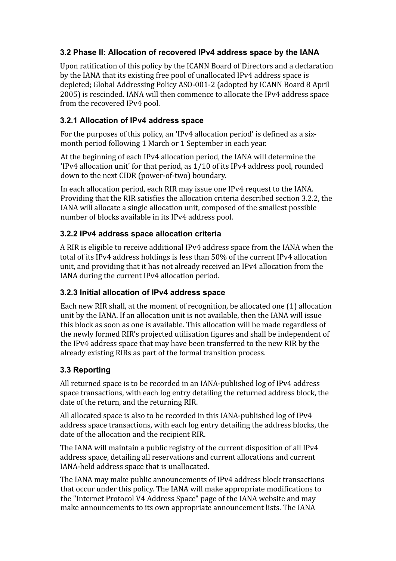### **3.2 Phase II: Allocation of recovered IPv4 address space by the IANA**

Upon ratification of this policy by the ICANN Board of Directors and a declaration by the IANA that its existing free pool of unallocated IPv4 address space is depleted; Global Addressing Policy ASO‐001‐2 (adopted by ICANN Board 8 April 2005) is rescinded. IANA will then commence to allocate the IPv4 address space from the recovered IPv4 pool.

### **3.2.1 Allocation of IPv4 address space**

For the purposes of this policy, an 'IPv4 allocation period' is defined as a sixmonth period following 1 March or 1 September in each year.

At the beginning of each IPv4 allocation period, the IANA will determine the 'IPv4 allocation unit' for that period, as 1/10 of its IPv4 address pool, rounded down to the next CIDR (power‐of‐two) boundary.

In each allocation period, each RIR may issue one IPv4 request to the IANA. Providing that the RIR satisfies the allocation criteria described section 3.2.2, the IANA will allocate a single allocation unit, composed of the smallest possible number of blocks available in its IPv4 address pool.

### **3.2.2 IPv4 address space allocation criteria**

A RIR is eligible to receive additional IPv4 address space from the IANA when the total of its IPv4 address holdings is less than 50% of the current IPv4 allocation unit, and providing that it has not already received an IPv4 allocation from the IANA during the current IPv4 allocation period.

#### **3.2.3 Initial allocation of IPv4 address space**

Each new RIR shall, at the moment of recognition, be allocated one (1) allocation unit by the IANA. If an allocation unit is not available, then the IANA will issue this block as soon as one is available. This allocation will be made regardless of the newly formed RIR's projected utilisation figures and shall be independent of the IPv4 address space that may have been transferred to the new RIR by the already existing RIRs as part of the formal transition process.

### **3.3 Reporting**

All returned space is to be recorded in an IANA‐published log of IPv4 address space transactions, with each log entry detailing the returned address block, the date of the return, and the returning RIR.

All allocated space is also to be recorded in this IANA‐published log of IPv4 address space transactions, with each log entry detailing the address blocks, the date of the allocation and the recipient RIR.

The IANA will maintain a public registry of the current disposition of all IPv4 address space, detailing all reservations and current allocations and current IANA‐held address space that is unallocated.

The IANA may make public announcements of IPv4 address block transactions that occur under this policy. The IANA will make appropriate modifications to the "Internet Protocol V4 Address Space" page of the IANA website and may make announcements to its own appropriate announcement lists. The IANA